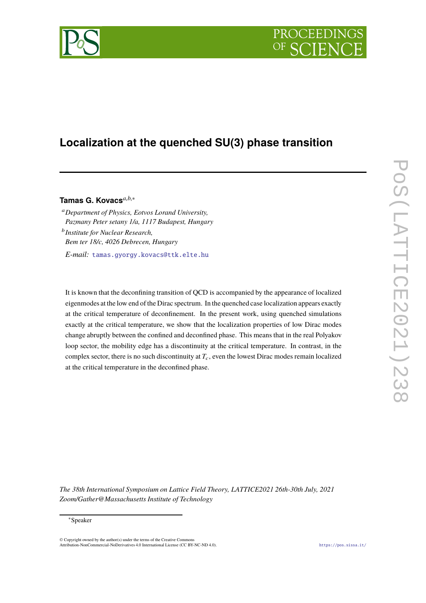# PROCEEDIN



## **Localization at the quenched SU(3) phase transition**

### **Tamas G. Kovacs***a*,*b*,<sup>∗</sup>

<sup>a</sup>*Department of Physics, Eotvos Lorand University, Pazmany Peter setany 1/a, 1117 Budapest, Hungary* b *Institute for Nuclear Research, Bem ter 18/c, 4026 Debrecen, Hungary E-mail:* [tamas.gyorgy.kovacs@ttk.elte.hu](mailto:tamas.gyorgy.kovacs@ttk.elte.hu)

It is known that the deconfining transition of QCD is accompanied by the appearance of localized eigenmodes at the low end of the Dirac spectrum. In the quenched case localization appears exactly at the critical temperature of deconfinement. In the present work, using quenched simulations exactly at the critical temperature, we show that the localization properties of low Dirac modes change abruptly between the confined and deconfined phase. This means that in the real Polyakov loop sector, the mobility edge has a discontinuity at the critical temperature. In contrast, in the complex sector, there is no such discontinuity at  $T_c$ , even the lowest Dirac modes remain localized at the critical temperature in the deconfined phase.

*The 38th International Symposium on Lattice Field Theory, LATTICE2021 26th-30th July, 2021 Zoom/Gather@Massachusetts Institute of Technology*

© Copyright owned by the author(s) under the terms of the Creative Commons Attribution-NonCommercial-NoDerivatives 4.0 International License (CC BY-NC-ND 4.0). <https://pos.sissa.it/>

<sup>∗</sup>Speaker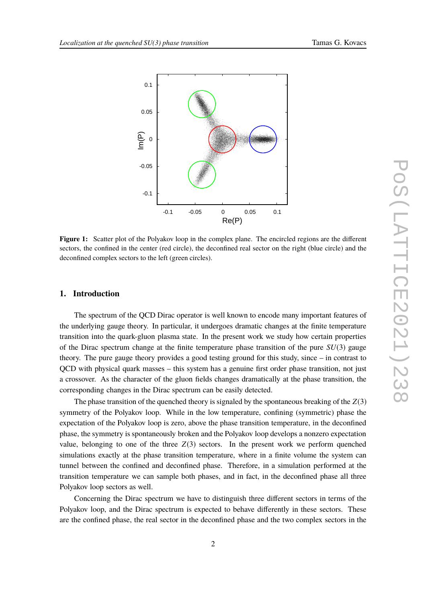<span id="page-1-0"></span>

**Figure 1:** Scatter plot of the Polyakov loop in the complex plane. The encircled regions are the different sectors, the confined in the center (red circle), the deconfined real sector on the right (blue circle) and the deconfined complex sectors to the left (green circles).

#### **1. Introduction**

The spectrum of the QCD Dirac operator is well known to encode many important features of the underlying gauge theory. In particular, it undergoes dramatic changes at the finite temperature transition into the quark-gluon plasma state. In the present work we study how certain properties of the Dirac spectrum change at the finite temperature phase transition of the pure *SU*(3) gauge theory. The pure gauge theory provides a good testing ground for this study, since – in contrast to QCD with physical quark masses – this system has a genuine first order phase transition, not just a crossover. As the character of the gluon fields changes dramatically at the phase transition, the corresponding changes in the Dirac spectrum can be easily detected.

The phase transition of the quenched theory is signaled by the spontaneous breaking of the *Z*(3) symmetry of the Polyakov loop. While in the low temperature, confining (symmetric) phase the expectation of the Polyakov loop is zero, above the phase transition temperature, in the deconfined phase, the symmetry is spontaneously broken and the Polyakov loop develops a nonzero expectation value, belonging to one of the three *Z*(3) sectors. In the present work we perform quenched simulations exactly at the phase transition temperature, where in a finite volume the system can tunnel between the confined and deconfined phase. Therefore, in a simulation performed at the transition temperature we can sample both phases, and in fact, in the deconfined phase all three Polyakov loop sectors as well.

Concerning the Dirac spectrum we have to distinguish three different sectors in terms of the Polyakov loop, and the Dirac spectrum is expected to behave differently in these sectors. These are the confined phase, the real sector in the deconfined phase and the two complex sectors in the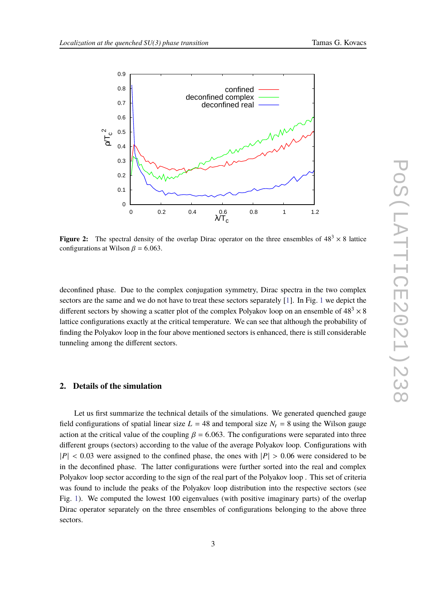<span id="page-2-0"></span>

**Figure 2:** The spectral density of the overlap Dirac operator on the three ensembles of  $48<sup>3</sup> \times 8$  lattice configurations at Wilson  $\beta$  = 6.063.

deconfined phase. Due to the complex conjugation symmetry, Dirac spectra in the two complex sectors are the same and we do not have to treat these sectors separately [\[1\]](#page-6-0). In Fig. [1](#page-1-0) we depict the different sectors by showing a scatter plot of the complex Polyakov loop on an ensemble of  $48<sup>3</sup> \times 8$ lattice configurations exactly at the critical temperature. We can see that although the probability of finding the Polyakov loop in the four above mentioned sectors is enhanced, there is still considerable tunneling among the different sectors.

#### **2. Details of the simulation**

Let us first summarize the technical details of the simulations. We generated quenched gauge field configurations of spatial linear size  $L = 48$  and temporal size  $N_t = 8$  using the Wilson gauge action at the critical value of the coupling  $\beta = 6.063$ . The configurations were separated into three different groups (sectors) according to the value of the average Polyakov loop. Configurations with  $|P| < 0.03$  were assigned to the confined phase, the ones with  $|P| > 0.06$  were considered to be in the deconfined phase. The latter configurations were further sorted into the real and complex Polyakov loop sector according to the sign of the real part of the Polyakov loop . This set of criteria was found to include the peaks of the Polyakov loop distribution into the respective sectors (see Fig. [1\)](#page-1-0). We computed the lowest 100 eigenvalues (with positive imaginary parts) of the overlap Dirac operator separately on the three ensembles of configurations belonging to the above three sectors.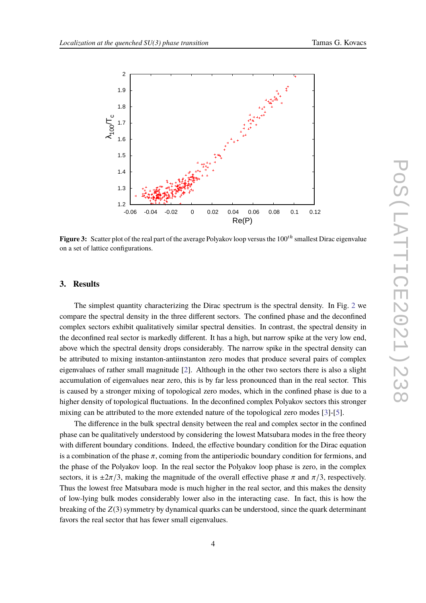<span id="page-3-0"></span>

Figure 3: Scatter plot of the real part of the average Polyakov loop versus the 100<sup>th</sup> smallest Dirac eigenvalue on a set of lattice configurations.

#### **3. Results**

The simplest quantity characterizing the Dirac spectrum is the spectral density. In Fig. [2](#page-2-0) we compare the spectral density in the three different sectors. The confined phase and the deconfined complex sectors exhibit qualitatively similar spectral densities. In contrast, the spectral density in the deconfined real sector is markedly different. It has a high, but narrow spike at the very low end, above which the spectral density drops considerably. The narrow spike in the spectral density can be attributed to mixing instanton-antiinstanton zero modes that produce several pairs of complex eigenvalues of rather small magnitude [\[2](#page-6-1)]. Although in the other two sectors there is also a slight accumulation of eigenvalues near zero, this is by far less pronounced than in the real sector. This is caused by a stronger mixing of topological zero modes, which in the confined phase is due to a higher density of topological fluctuations. In the deconfined complex Polyakov sectors this stronger mixing can be attributed to the more extended nature of the topological zero modes [\[3](#page-6-2)]-[\[5](#page-6-3)].

The difference in the bulk spectral density between the real and complex sector in the confined phase can be qualitatively understood by considering the lowest Matsubara modes in the free theory with different boundary conditions. Indeed, the effective boundary condition for the Dirac equation is a combination of the phase  $\pi$ , coming from the antiperiodic boundary condition for fermions, and the phase of the Polyakov loop. In the real sector the Polyakov loop phase is zero, in the complex sectors, it is  $\pm 2\pi/3$ , making the magnitude of the overall effective phase  $\pi$  and  $\pi/3$ , respectively. Thus the lowest free Matsubara mode is much higher in the real sector, and this makes the density of low-lying bulk modes considerably lower also in the interacting case. In fact, this is how the breaking of the *Z*(3) symmetry by dynamical quarks can be understood, since the quark determinant favors the real sector that has fewer small eigenvalues.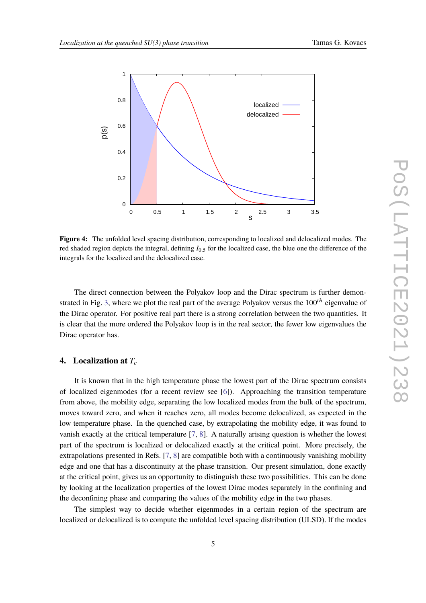<span id="page-4-0"></span>

**Figure 4:** The unfolded level spacing distribution, corresponding to localized and delocalized modes. The red shaded region depicts the integral, defining *I*0.<sup>5</sup> for the localized case, the blue one the difference of the integrals for the localized and the delocalized case.

The direct connection between the Polyakov loop and the Dirac spectrum is further demon-strated in Fig. [3,](#page-3-0) where we plot the real part of the average Polyakov versus the  $100<sup>th</sup>$  eigenvalue of the Dirac operator. For positive real part there is a strong correlation between the two quantities. It is clear that the more ordered the Polyakov loop is in the real sector, the fewer low eigenvalues the Dirac operator has.

#### **4. Localization at** *T<sup>c</sup>*

It is known that in the high temperature phase the lowest part of the Dirac spectrum consists of localized eigenmodes (for a recent review see [\[6](#page-6-4)]). Approaching the transition temperature from above, the mobility edge, separating the low localized modes from the bulk of the spectrum, moves toward zero, and when it reaches zero, all modes become delocalized, as expected in the low temperature phase. In the quenched case, by extrapolating the mobility edge, it was found to vanish exactly at the critical temperature [\[7,](#page-6-5) [8](#page-7-0)]. A naturally arising question is whether the lowest part of the spectrum is localized or delocalized exactly at the critical point. More precisely, the extrapolations presented in Refs. [\[7,](#page-6-5) [8](#page-7-0)] are compatible both with a continuously vanishing mobility edge and one that has a discontinuity at the phase transition. Our present simulation, done exactly at the critical point, gives us an opportunity to distinguish these two possibilities. This can be done by looking at the localization properties of the lowest Dirac modes separately in the confining and the deconfining phase and comparing the values of the mobility edge in the two phases.

The simplest way to decide whether eigenmodes in a certain region of the spectrum are localized or delocalized is to compute the unfolded level spacing distribution (ULSD). If the modes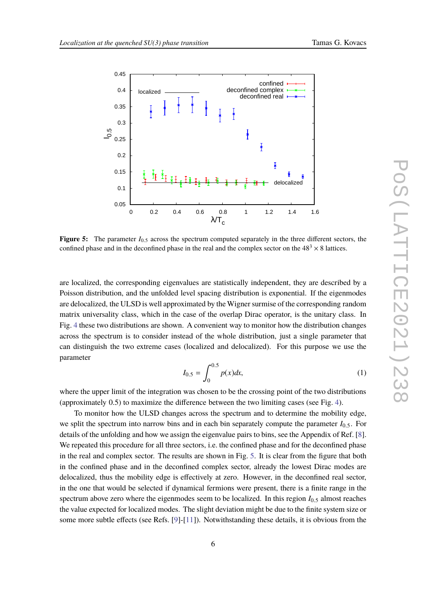<span id="page-5-0"></span>

**Figure 5:** The parameter  $I_{0.5}$  across the spectrum computed separately in the three different sectors, the confined phase and in the deconfined phase in the real and the complex sector on the  $48<sup>3</sup> \times 8$  lattices.

are localized, the corresponding eigenvalues are statistically independent, they are described by a Poisson distribution, and the unfolded level spacing distribution is exponential. If the eigenmodes are delocalized, the ULSD is well approximated by the Wigner surmise of the corresponding random matrix universality class, which in the case of the overlap Dirac operator, is the unitary class. In Fig. [4](#page-4-0) these two distributions are shown. A convenient way to monitor how the distribution changes across the spectrum is to consider instead of the whole distribution, just a single parameter that can distinguish the two extreme cases (localized and delocalized). For this purpose we use the parameter

$$
I_{0.5} = \int_0^{0.5} p(x)dx,
$$
 (1)

where the upper limit of the integration was chosen to be the crossing point of the two distributions (approximately 0.5) to maximize the difference between the two limiting cases (see Fig. [4\)](#page-4-0).

To monitor how the ULSD changes across the spectrum and to determine the mobility edge, we split the spectrum into narrow bins and in each bin separately compute the parameter *I*0.5. For details of the unfolding and how we assign the eigenvalue pairs to bins, see the Appendix of Ref. [\[8](#page-7-0)]. We repeated this procedure for all three sectors, *i.e.* the confined phase and for the deconfined phase in the real and complex sector. The results are shown in Fig. [5.](#page-5-0) It is clear from the figure that both in the confined phase and in the deconfined complex sector, already the lowest Dirac modes are delocalized, thus the mobility edge is effectively at zero. However, in the deconfined real sector, in the one that would be selected if dynamical fermions were present, there is a finite range in the spectrum above zero where the eigenmodes seem to be localized. In this region  $I_{0.5}$  almost reaches the value expected for localized modes. The slight deviation might be due to the finite system size or some more subtle effects (see Refs. [\[9\]](#page-7-1)-[\[11](#page-7-2)]). Notwithstanding these details, it is obvious from the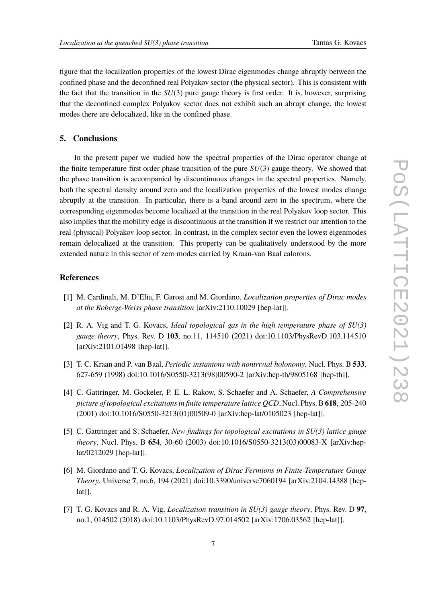figure that the localization properties of the lowest Dirac eigenmodes change abruptly between the confined phase and the deconfined real Polyakov sector (the physical sector). This is consistent with the fact that the transition in the *SU*(3) pure gauge theory is first order. It is, however, surprising that the deconfined complex Polyakov sector does not exhibit such an abrupt change, the lowest modes there are delocalized, like in the confined phase.

#### **5. Conclusions**

In the present paper we studied how the spectral properties of the Dirac operator change at the finite temperature first order phase transition of the pure *SU*(3) gauge theory. We showed that the phase transition is accompanied by discontinuous changes in the spectral properties. Namely, both the spectral density around zero and the localization properties of the lowest modes change abruptly at the transition. In particular, there is a band around zero in the spectrum, where the corresponding eigenmodes become localized at the transition in the real Polyakov loop sector. This also implies that the mobility edge is discontinuous at the transition if we restrict our attention to the real (physical) Polyakov loop sector. In contrast, in the complex sector even the lowest eigenmodes remain delocalized at the transition. This property can be qualitatively understood by the more extended nature in this sector of zero modes carried by Kraan-van Baal calorons.

#### **References**

- <span id="page-6-0"></span>[1] M. Cardinali, M. D'Elia, F. Garosi and M. Giordano, *Localization properties of Dirac modes at the Roberge-Weiss phase transition* [arXiv:2110.10029 [hep-lat]].
- <span id="page-6-1"></span>[2] R. A. Vig and T. G. Kovacs, *Ideal topological gas in the high temperature phase of SU(3) gauge theory*, Phys. Rev. D **103**, no.11, 114510 (2021) doi:10.1103/PhysRevD.103.114510 [arXiv:2101.01498 [hep-lat]].
- <span id="page-6-2"></span>[3] T. C. Kraan and P. van Baal, *Periodic instantons with nontrivial holonomy*, Nucl. Phys. B **533**, 627-659 (1998) doi:10.1016/S0550-3213(98)00590-2 [arXiv:hep-th/9805168 [hep-th]].
- [4] C. Gattringer, M. Gockeler, P. E. L. Rakow, S. Schaefer and A. Schaefer, *A Comprehensive picture of topological excitations in finite temperature lattice QCD*, Nucl. Phys. B **618**, 205-240 (2001) doi:10.1016/S0550-3213(01)00509-0 [arXiv:hep-lat/0105023 [hep-lat]].
- <span id="page-6-3"></span>[5] C. Gattringer and S. Schaefer, *New findings for topological excitations in SU(3) lattice gauge theory*, Nucl. Phys. B **654**, 30-60 (2003) doi:10.1016/S0550-3213(03)00083-X [arXiv:heplat/0212029 [hep-lat]].
- <span id="page-6-4"></span>[6] M. Giordano and T. G. Kovacs, *Localization of Dirac Fermions in Finite-Temperature Gauge Theory*, Universe **7**, no.6, 194 (2021) doi:10.3390/universe7060194 [arXiv:2104.14388 [hep $lat$ ].
- <span id="page-6-5"></span>[7] T. G. Kovacs and R. A. Vig, *Localization transition in SU(3) gauge theory*, Phys. Rev. D **97**, no.1, 014502 (2018) doi:10.1103/PhysRevD.97.014502 [arXiv:1706.03562 [hep-lat]].